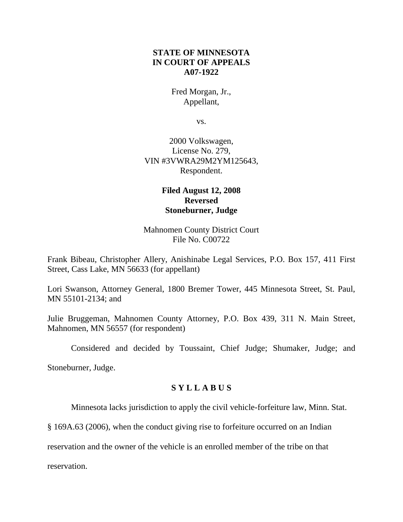# **STATE OF MINNESOTA IN COURT OF APPEALS A07-1922**

Fred Morgan, Jr., Appellant,

vs.

2000 Volkswagen, License No. 279, VIN #3VWRA29M2YM125643, Respondent.

# **Filed August 12, 2008 Reversed Stoneburner, Judge**

Mahnomen County District Court File No. C00722

Frank Bibeau, Christopher Allery, Anishinabe Legal Services, P.O. Box 157, 411 First Street, Cass Lake, MN 56633 (for appellant)

Lori Swanson, Attorney General, 1800 Bremer Tower, 445 Minnesota Street, St. Paul, MN 55101-2134; and

Julie Bruggeman, Mahnomen County Attorney, P.O. Box 439, 311 N. Main Street, Mahnomen, MN 56557 (for respondent)

Considered and decided by Toussaint, Chief Judge; Shumaker, Judge; and

Stoneburner, Judge.

### **S Y L L A B U S**

Minnesota lacks jurisdiction to apply the civil vehicle-forfeiture law, Minn. Stat.

§ 169A.63 (2006), when the conduct giving rise to forfeiture occurred on an Indian

reservation and the owner of the vehicle is an enrolled member of the tribe on that

reservation.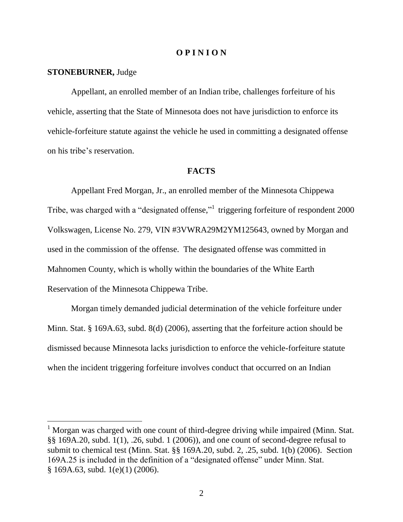### **O P I N I O N**

#### **STONEBURNER,** Judge

Appellant, an enrolled member of an Indian tribe, challenges forfeiture of his vehicle, asserting that the State of Minnesota does not have jurisdiction to enforce its vehicle-forfeiture statute against the vehicle he used in committing a designated offense on his tribe"s reservation.

### **FACTS**

Appellant Fred Morgan, Jr., an enrolled member of the Minnesota Chippewa Tribe, was charged with a "designated offense," triggering forfeiture of respondent 2000 Volkswagen, License No. 279, VIN #3VWRA29M2YM125643, owned by Morgan and used in the commission of the offense. The designated offense was committed in Mahnomen County, which is wholly within the boundaries of the White Earth Reservation of the Minnesota Chippewa Tribe.

Morgan timely demanded judicial determination of the vehicle forfeiture under Minn. Stat. § 169A.63, subd. 8(d) (2006), asserting that the forfeiture action should be dismissed because Minnesota lacks jurisdiction to enforce the vehicle-forfeiture statute when the incident triggering forfeiture involves conduct that occurred on an Indian

<sup>&</sup>lt;sup>1</sup> Morgan was charged with one count of third-degree driving while impaired (Minn. Stat. §§ 169A.20, subd. 1(1), .26, subd. 1 (2006)), and one count of second-degree refusal to submit to chemical test (Minn. Stat. §§ 169A.20, subd. 2, .25, subd. 1(b) (2006). Section 169A.25 is included in the definition of a "designated offense" under Minn. Stat. § 169A.63, subd. 1(e)(1) (2006).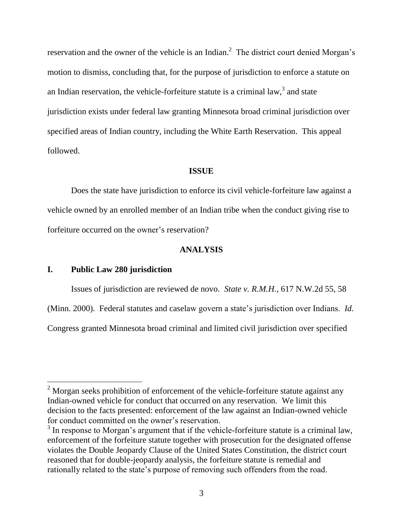reservation and the owner of the vehicle is an Indian.<sup>2</sup> The district court denied Morgan's motion to dismiss, concluding that, for the purpose of jurisdiction to enforce a statute on an Indian reservation, the vehicle-forfeiture statute is a criminal law,<sup>3</sup> and state jurisdiction exists under federal law granting Minnesota broad criminal jurisdiction over specified areas of Indian country, including the White Earth Reservation. This appeal followed.

#### **ISSUE**

Does the state have jurisdiction to enforce its civil vehicle-forfeiture law against a vehicle owned by an enrolled member of an Indian tribe when the conduct giving rise to forfeiture occurred on the owner's reservation?

### **ANALYSIS**

## **I. Public Law 280 jurisdiction**

 $\overline{a}$ 

Issues of jurisdiction are reviewed de novo. *State v. R.M.H.*, 617 N.W.2d 55, 58

(Minn. 2000). Federal statutes and caselaw govern a state"s jurisdiction over Indians. *Id.*

Congress granted Minnesota broad criminal and limited civil jurisdiction over specified

 $2\ \text{Morgan seeks}$  prohibition of enforcement of the vehicle-forfeiture statute against any Indian-owned vehicle for conduct that occurred on any reservation. We limit this decision to the facts presented: enforcement of the law against an Indian-owned vehicle for conduct committed on the owner's reservation.

 $3$  In response to Morgan's argument that if the vehicle-forfeiture statute is a criminal law, enforcement of the forfeiture statute together with prosecution for the designated offense violates the Double Jeopardy Clause of the United States Constitution, the district court reasoned that for double-jeopardy analysis, the forfeiture statute is remedial and rationally related to the state"s purpose of removing such offenders from the road.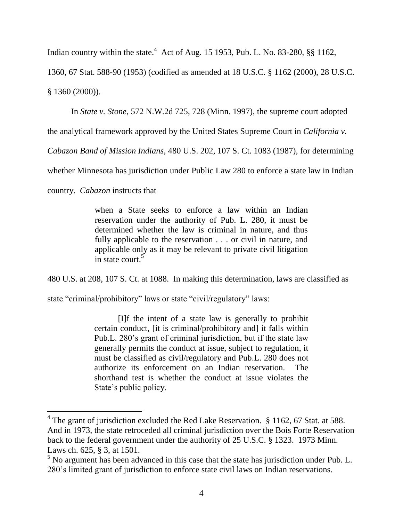Indian country within the state. $4$  Act of Aug. 15 1953, Pub. L. No. 83-280, §§ 1162,

1360, 67 Stat. 588-90 (1953) (codified as amended at 18 U.S.C. § 1162 (2000), 28 U.S.C. § 1360 (2000)).

In *State v. Stone*, 572 N.W.2d 725, 728 (Minn. 1997), the supreme court adopted

the analytical framework approved by the United States Supreme Court in *California v.*

*Cabazon Band of Mission Indians*, 480 U.S. 202, 107 S. Ct. 1083 (1987), for determining

whether Minnesota has jurisdiction under Public Law 280 to enforce a state law in Indian

country. *Cabazon* instructs that

when a State seeks to enforce a law within an Indian reservation under the authority of Pub. L. 280, it must be determined whether the law is criminal in nature, and thus fully applicable to the reservation . . . or civil in nature, and applicable only as it may be relevant to private civil litigation in state court.<sup>5</sup>

480 U.S. at 208, 107 S. Ct. at 1088. In making this determination, laws are classified as

state "criminal/prohibitory" laws or state "civil/regulatory" laws:

[I]f the intent of a state law is generally to prohibit certain conduct, [it is criminal/prohibitory and] it falls within Pub.L. 280's grant of criminal jurisdiction, but if the state law generally permits the conduct at issue, subject to regulation, it must be classified as civil/regulatory and Pub.L. 280 does not authorize its enforcement on an Indian reservation. The shorthand test is whether the conduct at issue violates the State"s public policy.

<sup>&</sup>lt;sup>4</sup> The grant of jurisdiction excluded the Red Lake Reservation.  $§$  1162, 67 Stat. at 588. And in 1973, the state retroceded all criminal jurisdiction over the Bois Forte Reservation back to the federal government under the authority of 25 U.S.C. § 1323. 1973 Minn. Laws ch. 625, § 3, at 1501.

<sup>&</sup>lt;sup>5</sup> No argument has been advanced in this case that the state has jurisdiction under Pub. L. 280"s limited grant of jurisdiction to enforce state civil laws on Indian reservations.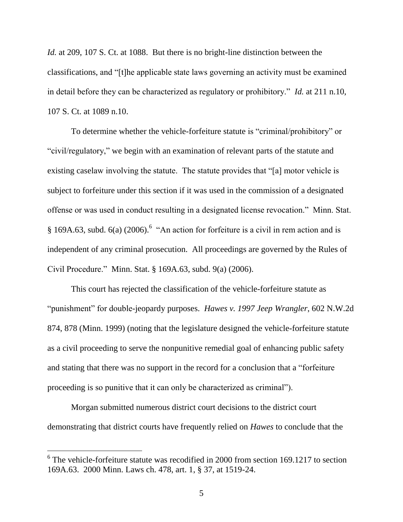*Id.* at 209, 107 S. Ct. at 1088. But there is no bright-line distinction between the classifications, and "[t]he applicable state laws governing an activity must be examined in detail before they can be characterized as regulatory or prohibitory." *Id.* at 211 n.10, 107 S. Ct. at 1089 n.10.

To determine whether the vehicle-forfeiture statute is "criminal/prohibitory" or "civil/regulatory," we begin with an examination of relevant parts of the statute and existing caselaw involving the statute. The statute provides that "[a] motor vehicle is subject to forfeiture under this section if it was used in the commission of a designated offense or was used in conduct resulting in a designated license revocation." Minn. Stat. § 169A.63, subd.  $6(a)$  (2006).<sup>6</sup> "An action for forfeiture is a civil in rem action and is independent of any criminal prosecution. All proceedings are governed by the Rules of Civil Procedure." Minn. Stat. § 169A.63, subd. 9(a) (2006).

This court has rejected the classification of the vehicle-forfeiture statute as "punishment" for double-jeopardy purposes. *Hawes v. 1997 Jeep Wrangler*, 602 N.W.2d 874, 878 (Minn. 1999) (noting that the legislature designed the vehicle-forfeiture statute as a civil proceeding to serve the nonpunitive remedial goal of enhancing public safety and stating that there was no support in the record for a conclusion that a "forfeiture proceeding is so punitive that it can only be characterized as criminal").

Morgan submitted numerous district court decisions to the district court demonstrating that district courts have frequently relied on *Hawes* to conclude that the

 $\overline{a}$ 

 $6$  The vehicle-forfeiture statute was recodified in 2000 from section 169.1217 to section 169A.63. 2000 Minn. Laws ch. 478, art. 1, § 37, at 1519-24.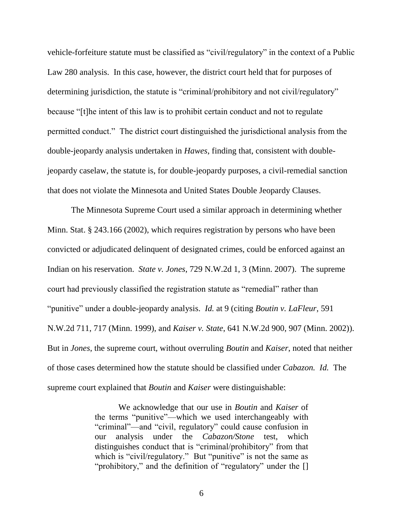vehicle-forfeiture statute must be classified as "civil/regulatory" in the context of a Public Law 280 analysis. In this case, however, the district court held that for purposes of determining jurisdiction, the statute is "criminal/prohibitory and not civil/regulatory" because "[t]he intent of this law is to prohibit certain conduct and not to regulate permitted conduct." The district court distinguished the jurisdictional analysis from the double-jeopardy analysis undertaken in *Hawes*, finding that, consistent with doublejeopardy caselaw, the statute is, for double-jeopardy purposes, a civil-remedial sanction that does not violate the Minnesota and United States Double Jeopardy Clauses.

The Minnesota Supreme Court used a similar approach in determining whether Minn. Stat. § 243.166 (2002), which requires registration by persons who have been convicted or adjudicated delinquent of designated crimes, could be enforced against an Indian on his reservation. *State v. Jones*, 729 N.W.2d 1, 3 (Minn. 2007). The supreme court had previously classified the registration statute as "remedial" rather than "punitive" under a double-jeopardy analysis. *Id.* at 9 (citing *Boutin v. LaFleur*, 591 N.W.2d 711, 717 (Minn. 1999), and *Kaiser v. State*, 641 N.W.2d 900, 907 (Minn. 2002)). But in *Jones*, the supreme court, without overruling *Boutin* and *Kaiser*, noted that neither of those cases determined how the statute should be classified under *Cabazon. Id.* The supreme court explained that *Boutin* and *Kaiser* were distinguishable:

> We acknowledge that our use in *Boutin* and *Kaiser* of the terms "punitive"—which we used interchangeably with "criminal"—and "civil, regulatory" could cause confusion in our analysis under the *Cabazon/Stone* test, which distinguishes conduct that is "criminal/prohibitory" from that which is "civil/regulatory." But "punitive" is not the same as "prohibitory," and the definition of "regulatory" under the []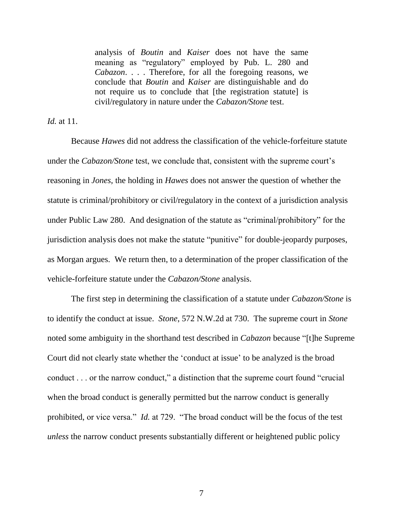analysis of *Boutin* and *Kaiser* does not have the same meaning as "regulatory" employed by Pub. L. 280 and *Cabazon*. . . . Therefore, for all the foregoing reasons, we conclude that *Boutin* and *Kaiser* are distinguishable and do not require us to conclude that [the registration statute] is civil/regulatory in nature under the *Cabazon/Stone* test.

*Id.* at 11.

Because *Hawes* did not address the classification of the vehicle-forfeiture statute under the *Cabazon/Stone* test, we conclude that, consistent with the supreme court's reasoning in *Jones*, the holding in *Hawes* does not answer the question of whether the statute is criminal/prohibitory or civil/regulatory in the context of a jurisdiction analysis under Public Law 280. And designation of the statute as "criminal/prohibitory" for the jurisdiction analysis does not make the statute "punitive" for double-jeopardy purposes, as Morgan argues. We return then, to a determination of the proper classification of the vehicle-forfeiture statute under the *Cabazon/Stone* analysis.

The first step in determining the classification of a statute under *Cabazon/Stone* is to identify the conduct at issue. *Stone*, 572 N.W.2d at 730. The supreme court in *Stone* noted some ambiguity in the shorthand test described in *Cabazon* because "[t]he Supreme Court did not clearly state whether the "conduct at issue" to be analyzed is the broad conduct . . . or the narrow conduct," a distinction that the supreme court found "crucial when the broad conduct is generally permitted but the narrow conduct is generally prohibited, or vice versa." *Id.* at 729. "The broad conduct will be the focus of the test *unless* the narrow conduct presents substantially different or heightened public policy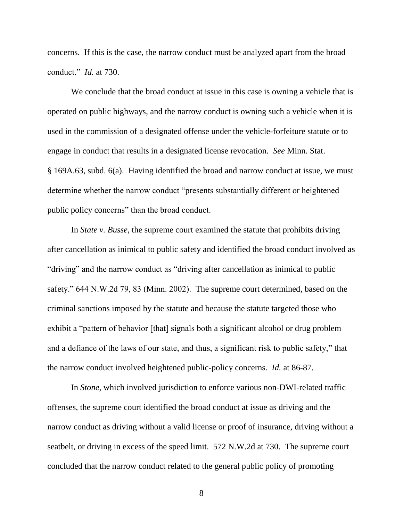concerns. If this is the case, the narrow conduct must be analyzed apart from the broad conduct." *Id.* at 730.

We conclude that the broad conduct at issue in this case is owning a vehicle that is operated on public highways, and the narrow conduct is owning such a vehicle when it is used in the commission of a designated offense under the vehicle-forfeiture statute or to engage in conduct that results in a designated license revocation. *See* Minn. Stat. § 169A.63, subd. 6(a). Having identified the broad and narrow conduct at issue, we must determine whether the narrow conduct "presents substantially different or heightened public policy concerns" than the broad conduct.

In *State v. Busse*, the supreme court examined the statute that prohibits driving after cancellation as inimical to public safety and identified the broad conduct involved as "driving" and the narrow conduct as "driving after cancellation as inimical to public safety." 644 N.W.2d 79, 83 (Minn. 2002). The supreme court determined, based on the criminal sanctions imposed by the statute and because the statute targeted those who exhibit a "pattern of behavior [that] signals both a significant alcohol or drug problem and a defiance of the laws of our state, and thus, a significant risk to public safety," that the narrow conduct involved heightened public-policy concerns. *Id.* at 86-87.

In *Stone*, which involved jurisdiction to enforce various non-DWI-related traffic offenses, the supreme court identified the broad conduct at issue as driving and the narrow conduct as driving without a valid license or proof of insurance, driving without a seatbelt, or driving in excess of the speed limit. 572 N.W.2d at 730. The supreme court concluded that the narrow conduct related to the general public policy of promoting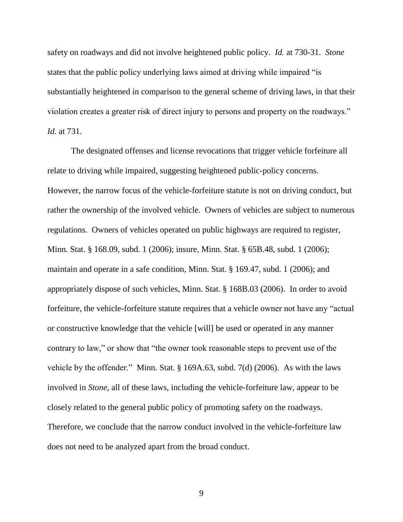safety on roadways and did not involve heightened public policy. *Id.* at 730-31. *Stone* states that the public policy underlying laws aimed at driving while impaired "is substantially heightened in comparison to the general scheme of driving laws, in that their violation creates a greater risk of direct injury to persons and property on the roadways." *Id.* at 731.

The designated offenses and license revocations that trigger vehicle forfeiture all relate to driving while impaired, suggesting heightened public-policy concerns. However, the narrow focus of the vehicle-forfeiture statute is not on driving conduct, but rather the ownership of the involved vehicle. Owners of vehicles are subject to numerous regulations. Owners of vehicles operated on public highways are required to register, Minn. Stat. § 168.09, subd. 1 (2006); insure, Minn. Stat. § 65B.48, subd. 1 (2006); maintain and operate in a safe condition, Minn. Stat. § 169.47, subd. 1 (2006); and appropriately dispose of such vehicles, Minn. Stat. § 168B.03 (2006). In order to avoid forfeiture, the vehicle-forfeiture statute requires that a vehicle owner not have any "actual or constructive knowledge that the vehicle [will] be used or operated in any manner contrary to law," or show that "the owner took reasonable steps to prevent use of the vehicle by the offender." Minn. Stat. § 169A.63, subd. 7(d) (2006). As with the laws involved in *Stone,* all of these laws, including the vehicle-forfeiture law, appear to be closely related to the general public policy of promoting safety on the roadways. Therefore, we conclude that the narrow conduct involved in the vehicle-forfeiture law does not need to be analyzed apart from the broad conduct.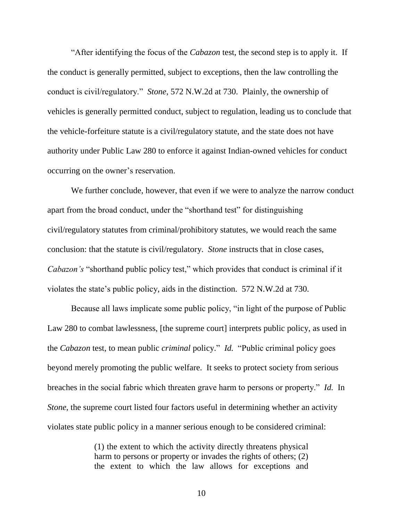"After identifying the focus of the *Cabazon* test, the second step is to apply it. If the conduct is generally permitted, subject to exceptions, then the law controlling the conduct is civil/regulatory." *Stone*, 572 N.W.2d at 730. Plainly, the ownership of vehicles is generally permitted conduct, subject to regulation, leading us to conclude that the vehicle-forfeiture statute is a civil/regulatory statute, and the state does not have authority under Public Law 280 to enforce it against Indian-owned vehicles for conduct occurring on the owner"s reservation.

We further conclude, however, that even if we were to analyze the narrow conduct apart from the broad conduct, under the "shorthand test" for distinguishing civil/regulatory statutes from criminal/prohibitory statutes, we would reach the same conclusion: that the statute is civil/regulatory. *Stone* instructs that in close cases, *Cabazon's* "shorthand public policy test," which provides that conduct is criminal if it violates the state"s public policy, aids in the distinction. 572 N.W.2d at 730.

Because all laws implicate some public policy, "in light of the purpose of Public Law 280 to combat lawlessness, [the supreme court] interprets public policy, as used in the *Cabazon* test, to mean public *criminal* policy." *Id.* "Public criminal policy goes beyond merely promoting the public welfare. It seeks to protect society from serious breaches in the social fabric which threaten grave harm to persons or property." *Id.* In *Stone*, the supreme court listed four factors useful in determining whether an activity violates state public policy in a manner serious enough to be considered criminal:

> (1) the extent to which the activity directly threatens physical harm to persons or property or invades the rights of others; (2) the extent to which the law allows for exceptions and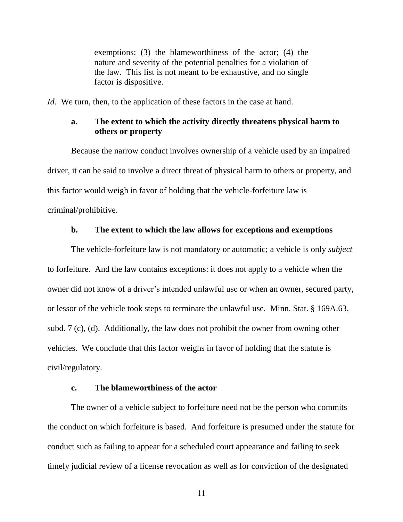exemptions; (3) the blameworthiness of the actor; (4) the nature and severity of the potential penalties for a violation of the law. This list is not meant to be exhaustive, and no single factor is dispositive.

*Id.* We turn, then, to the application of these factors in the case at hand.

## **a. The extent to which the activity directly threatens physical harm to others or property**

Because the narrow conduct involves ownership of a vehicle used by an impaired driver, it can be said to involve a direct threat of physical harm to others or property, and this factor would weigh in favor of holding that the vehicle-forfeiture law is criminal/prohibitive.

### **b. The extent to which the law allows for exceptions and exemptions**

The vehicle-forfeiture law is not mandatory or automatic; a vehicle is only *subject* to forfeiture. And the law contains exceptions: it does not apply to a vehicle when the owner did not know of a driver"s intended unlawful use or when an owner, secured party, or lessor of the vehicle took steps to terminate the unlawful use. Minn. Stat. § 169A.63, subd. 7 (c), (d). Additionally, the law does not prohibit the owner from owning other vehicles. We conclude that this factor weighs in favor of holding that the statute is civil/regulatory.

### **c. The blameworthiness of the actor**

The owner of a vehicle subject to forfeiture need not be the person who commits the conduct on which forfeiture is based. And forfeiture is presumed under the statute for conduct such as failing to appear for a scheduled court appearance and failing to seek timely judicial review of a license revocation as well as for conviction of the designated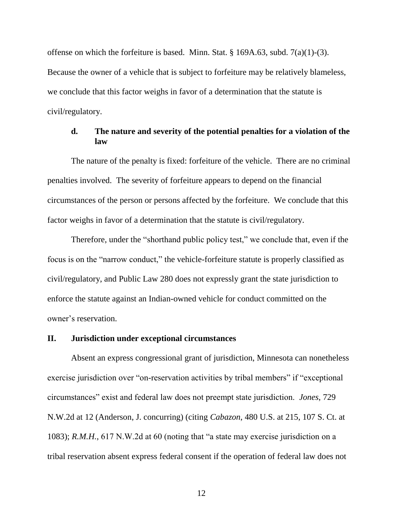offense on which the forfeiture is based. Minn. Stat. § 169A.63, subd. 7(a)(1)-(3). Because the owner of a vehicle that is subject to forfeiture may be relatively blameless, we conclude that this factor weighs in favor of a determination that the statute is civil/regulatory.

# **d. The nature and severity of the potential penalties for a violation of the law**

The nature of the penalty is fixed: forfeiture of the vehicle. There are no criminal penalties involved. The severity of forfeiture appears to depend on the financial circumstances of the person or persons affected by the forfeiture. We conclude that this factor weighs in favor of a determination that the statute is civil/regulatory.

Therefore, under the "shorthand public policy test," we conclude that, even if the focus is on the "narrow conduct," the vehicle-forfeiture statute is properly classified as civil/regulatory, and Public Law 280 does not expressly grant the state jurisdiction to enforce the statute against an Indian-owned vehicle for conduct committed on the owner"s reservation.

### **II. Jurisdiction under exceptional circumstances**

Absent an express congressional grant of jurisdiction, Minnesota can nonetheless exercise jurisdiction over "on-reservation activities by tribal members" if "exceptional circumstances" exist and federal law does not preempt state jurisdiction. *Jones*, 729 N.W.2d at 12 (Anderson, J. concurring) (citing *Cabazon*, 480 U.S. at 215, 107 S. Ct. at 1083); *R.M.H.*, 617 N.W.2d at 60 (noting that "a state may exercise jurisdiction on a tribal reservation absent express federal consent if the operation of federal law does not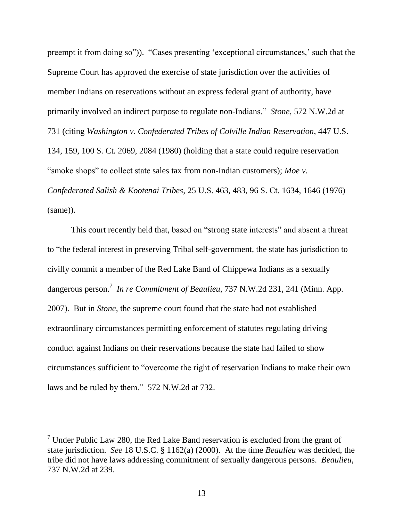preempt it from doing so")). "Cases presenting 'exceptional circumstances,' such that the Supreme Court has approved the exercise of state jurisdiction over the activities of member Indians on reservations without an express federal grant of authority, have primarily involved an indirect purpose to regulate non-Indians." *Stone*, 572 N.W.2d at 731 (citing *Washington v. Confederated Tribes of Colville Indian Reservation*, 447 U.S. 134, 159, 100 S. Ct*.* 2069, 2084 (1980) (holding that a state could require reservation "smoke shops" to collect state sales tax from non-Indian customers); *Moe v. Confederated Salish & Kootenai Tribes*, 25 U.S. 463, 483, 96 S. Ct. 1634, 1646 (1976) (same)).

This court recently held that, based on "strong state interests" and absent a threat to "the federal interest in preserving Tribal self-government, the state has jurisdiction to civilly commit a member of the Red Lake Band of Chippewa Indians as a sexually dangerous person.<sup>7</sup> In re Commitment of Beaulieu, 737 N.W.2d 231, 241 (Minn. App. 2007). But in *Stone*, the supreme court found that the state had not established extraordinary circumstances permitting enforcement of statutes regulating driving conduct against Indians on their reservations because the state had failed to show circumstances sufficient to "overcome the right of reservation Indians to make their own laws and be ruled by them." 572 N.W.2d at 732.

 $7$  Under Public Law 280, the Red Lake Band reservation is excluded from the grant of state jurisdiction. *See* 18 U.S.C. § 1162(a) (2000). At the time *Beaulieu* was decided, the tribe did not have laws addressing commitment of sexually dangerous persons. *Beaulieu*, 737 N.W.2d at 239.